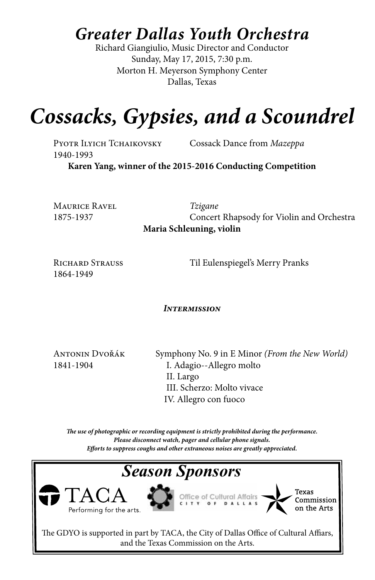## *Greater Dallas Youth Orchestra*

Richard Giangiulio, Music Director and Conductor Sunday, May 17, 2015, 7:30 p.m. Morton H. Meyerson Symphony Center Dallas, Texas

# *Cossacks, Gypsies, and a Scoundrel*

1940-1993

Pyotr Ilyich Tchaikovsky Cossack Dance from *Mazeppa*

**Karen Yang, winner of the 2015-2016 Conducting Competition**

Maurice Ravel *Tzigane*

1875-1937Concert Rhapsody for Violin and Orchestra **Maria Schleuning, violin**

1864-1949

RICHARD STRAUSS Til Eulenspiegel's Merry Pranks

#### *Intermission*

Antonin Dvořák Symphony No. 9 in E Minor *(From the New World)* 1841-1904 I. Adagio--Allegro molto II. Largo III. Scherzo: Molto vivace IV. Allegro con fuoco

*The use of photographic or recording equipment is strictly prohibited during the performance. Please disconnect watch, pager and cellular phone signals. Efforts to suppress coughs and other extraneous noises are greatly appreciated.*

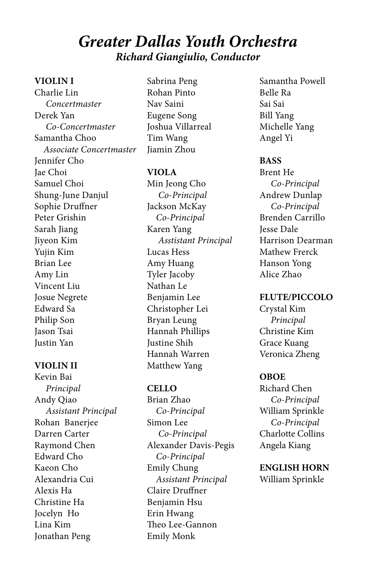### *Greater Dallas Youth Orchestra Richard Giangiulio, Conductor*

#### **VIOLIN I**

Charlie Lin  *Concertmaster* Derek Yan  *Co-Concertmaster* Samantha Choo  *Associate Concertmaster* Jennifer Cho Jae Choi Samuel Choi Shung-June Danjul Sophie Druffner Peter Grishin Sarah Jiang Jiyeon Kim Yujin Kim Brian Lee Amy Lin Vincent Liu Josue Negrete Edward Sa Philip Son Jason Tsai Justin Yan

#### **VIOLIN II**

Kevin Bai  *Principal* Andy Qiao  *Assistant Principal* Rohan Banerjee Darren Carter Raymond Chen Edward Cho Kaeon Cho Alexandria Cui Alexis Ha Christine Ha Jocelyn Ho Lina Kim Jonathan Peng

Sabrina Peng Rohan Pinto Nav Saini Eugene Song Joshua Villarreal Tim Wang Jiamin Zhou

#### **VIOLA**

Min Jeong Cho  *Co-Principal* Jackson McKay  *Co-Principal* Karen Yang  *Asstistant Principal* Lucas Hess Amy Huang Tyler Jacoby Nathan Le Benjamin Lee Christopher Lei Bryan Leung Hannah Phillips Justine Shih Hannah Warren Matthew Yang

#### **CELLO**

Brian Zhao  *Co-Principal* Simon Lee  *Co-Principal* Alexander Davis-Pegis  *Co-Principal* Emily Chung  *Assistant Principal* Claire Druffner Benjamin Hsu Erin Hwang Theo Lee-Gannon Emily Monk

Samantha Powell Belle Ra Sai Sai Bill Yang Michelle Yang Angel Yi

#### **BASS**

Brent He  *Co-Principal* Andrew Dunlap  *Co-Principal* Brenden Carrillo Jesse Dale Harrison Dearman Mathew Frerck Hanson Yong Alice Zhao

#### **FLUTE/PICCOLO**

Crystal Kim  *Principal* Christine Kim Grace Kuang Veronica Zheng

#### **OBOE**

Richard Chen  *Co-Principal* William Sprinkle  *Co-Principal* Charlotte Collins Angela Kiang

**ENGLISH HORN** William Sprinkle